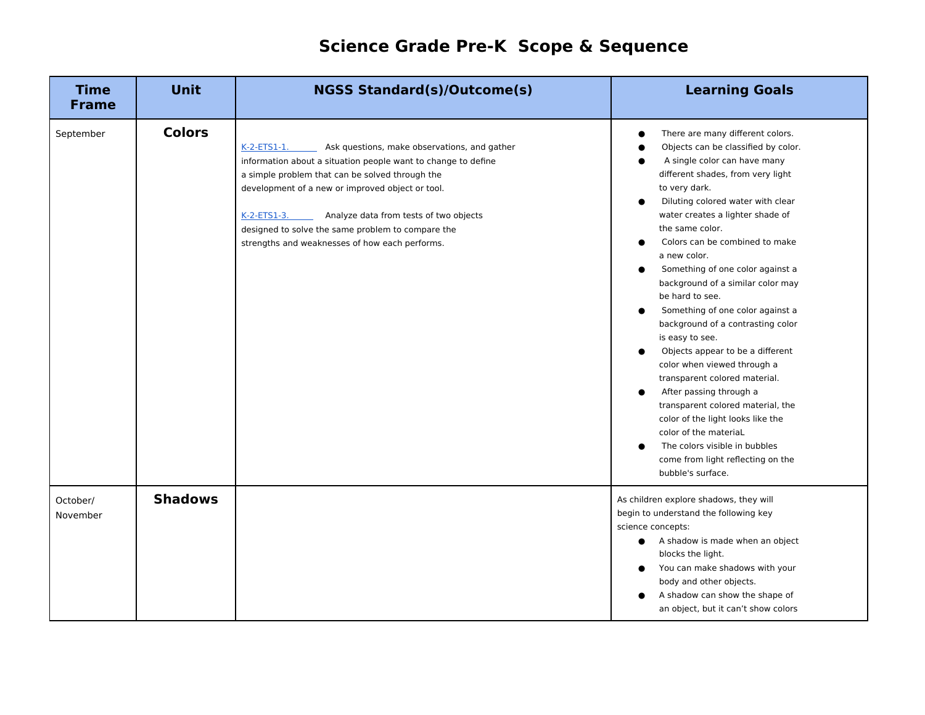## **Science Grade Pre-K Scope & Sequence**

| <b>Time</b><br><b>Frame</b> | <b>Unit</b>    | <b>NGSS Standard(s)/Outcome(s)</b>                                                                                                                                                                                                                                                                                                                                                                      | <b>Learning Goals</b>                                                                                                                                                                                                                                                                                                                                                                                                                                                                                                                                                                                                                                                                                                                                                                                                            |
|-----------------------------|----------------|---------------------------------------------------------------------------------------------------------------------------------------------------------------------------------------------------------------------------------------------------------------------------------------------------------------------------------------------------------------------------------------------------------|----------------------------------------------------------------------------------------------------------------------------------------------------------------------------------------------------------------------------------------------------------------------------------------------------------------------------------------------------------------------------------------------------------------------------------------------------------------------------------------------------------------------------------------------------------------------------------------------------------------------------------------------------------------------------------------------------------------------------------------------------------------------------------------------------------------------------------|
| September                   | <b>Colors</b>  | $K-2-ETS1-1.$<br>Ask questions, make observations, and gather<br>information about a situation people want to change to define<br>a simple problem that can be solved through the<br>development of a new or improved object or tool.<br>Analyze data from tests of two objects<br>$K-2-ETS1-3.$<br>designed to solve the same problem to compare the<br>strengths and weaknesses of how each performs. | There are many different colors.<br>Objects can be classified by color.<br>A single color can have many<br>different shades, from very light<br>to very dark.<br>Diluting colored water with clear<br>water creates a lighter shade of<br>the same color.<br>Colors can be combined to make<br>a new color.<br>Something of one color against a<br>background of a similar color may<br>be hard to see.<br>Something of one color against a<br>background of a contrasting color<br>is easy to see.<br>Objects appear to be a different<br>color when viewed through a<br>transparent colored material.<br>After passing through a<br>transparent colored material, the<br>color of the light looks like the<br>color of the materiaL<br>The colors visible in bubbles<br>come from light reflecting on the<br>bubble's surface. |
| October/<br>November        | <b>Shadows</b> |                                                                                                                                                                                                                                                                                                                                                                                                         | As children explore shadows, they will<br>begin to understand the following key<br>science concepts:<br>A shadow is made when an object<br>blocks the light.<br>You can make shadows with your<br>body and other objects.<br>A shadow can show the shape of<br>an object, but it can't show colors                                                                                                                                                                                                                                                                                                                                                                                                                                                                                                                               |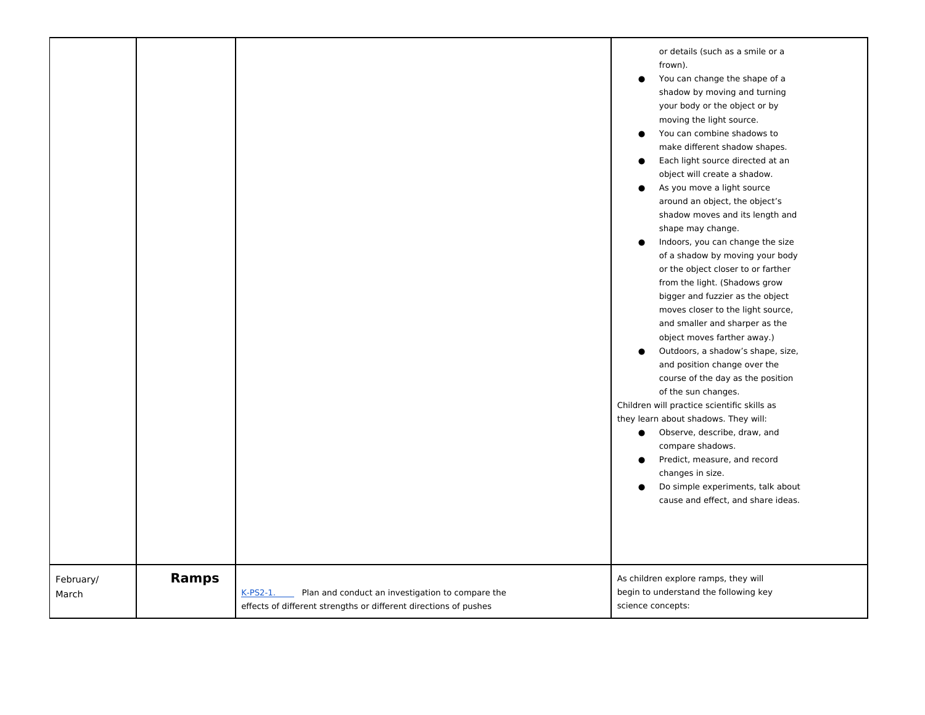|                    |              |                                                                                                                                  | or details (such as a smile or a<br>frown).<br>You can change the shape of a<br>$\bullet$<br>shadow by moving and turning<br>your body or the object or by<br>moving the light source.<br>You can combine shadows to<br>make different shadow shapes.<br>Each light source directed at an<br>object will create a shadow.<br>As you move a light source<br>$\bullet$<br>around an object, the object's<br>shadow moves and its length and<br>shape may change.<br>Indoors, you can change the size<br>of a shadow by moving your body<br>or the object closer to or farther<br>from the light. (Shadows grow<br>bigger and fuzzier as the object<br>moves closer to the light source,<br>and smaller and sharper as the<br>object moves farther away.)<br>Outdoors, a shadow's shape, size,<br>and position change over the<br>course of the day as the position<br>of the sun changes.<br>Children will practice scientific skills as<br>they learn about shadows. They will:<br>Observe, describe, draw, and<br>$\bullet$<br>compare shadows.<br>Predict, measure, and record<br>$\bullet$<br>changes in size.<br>Do simple experiments, talk about<br>cause and effect, and share ideas. |
|--------------------|--------------|----------------------------------------------------------------------------------------------------------------------------------|---------------------------------------------------------------------------------------------------------------------------------------------------------------------------------------------------------------------------------------------------------------------------------------------------------------------------------------------------------------------------------------------------------------------------------------------------------------------------------------------------------------------------------------------------------------------------------------------------------------------------------------------------------------------------------------------------------------------------------------------------------------------------------------------------------------------------------------------------------------------------------------------------------------------------------------------------------------------------------------------------------------------------------------------------------------------------------------------------------------------------------------------------------------------------------------------|
| February/<br>March | <b>Ramps</b> | K-PS2-1.<br>Plan and conduct an investigation to compare the<br>effects of different strengths or different directions of pushes | As children explore ramps, they will<br>begin to understand the following key<br>science concepts:                                                                                                                                                                                                                                                                                                                                                                                                                                                                                                                                                                                                                                                                                                                                                                                                                                                                                                                                                                                                                                                                                          |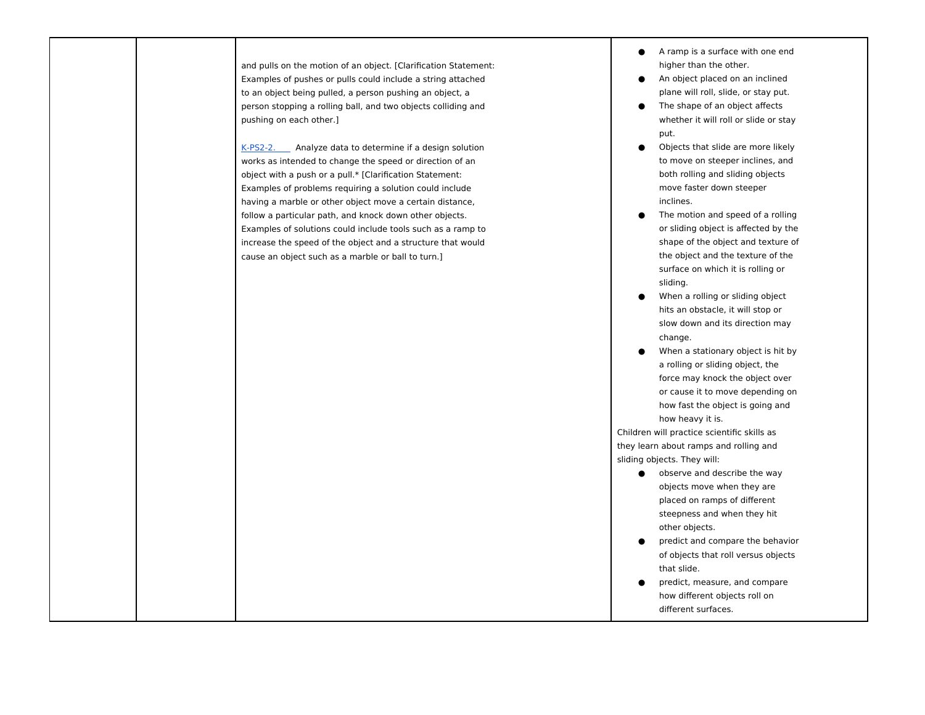| and pulls on the motion of an object. [Clarification Statement:<br>Examples of pushes or pulls could include a string attached<br>to an object being pulled, a person pushing an object, a<br>person stopping a rolling ball, and two objects colliding and<br>pushing on each other.]<br>$K-PS2-2.$<br>Analyze data to determine if a design solution<br>works as intended to change the speed or direction of an<br>object with a push or a pull.* [Clarification Statement:<br>Examples of problems requiring a solution could include<br>having a marble or other object move a certain distance,<br>follow a particular path, and knock down other objects.<br>Examples of solutions could include tools such as a ramp to<br>increase the speed of the object and a structure that would<br>cause an object such as a marble or ball to turn.] | A ramp is a surface with one end<br>higher than the other.<br>An object placed on an inclined<br>plane will roll, slide, or stay put.<br>The shape of an object affects<br>whether it will roll or slide or stay<br>put.<br>Objects that slide are more likely<br>to move on steeper inclines, and<br>both rolling and sliding objects<br>move faster down steeper<br>inclines.<br>The motion and speed of a rolling<br>or sliding object is affected by the<br>shape of the object and texture of<br>the object and the texture of the<br>surface on which it is rolling or<br>sliding.<br>When a rolling or sliding object<br>hits an obstacle, it will stop or<br>slow down and its direction may<br>change.<br>When a stationary object is hit by<br>a rolling or sliding object, the |
|------------------------------------------------------------------------------------------------------------------------------------------------------------------------------------------------------------------------------------------------------------------------------------------------------------------------------------------------------------------------------------------------------------------------------------------------------------------------------------------------------------------------------------------------------------------------------------------------------------------------------------------------------------------------------------------------------------------------------------------------------------------------------------------------------------------------------------------------------|-------------------------------------------------------------------------------------------------------------------------------------------------------------------------------------------------------------------------------------------------------------------------------------------------------------------------------------------------------------------------------------------------------------------------------------------------------------------------------------------------------------------------------------------------------------------------------------------------------------------------------------------------------------------------------------------------------------------------------------------------------------------------------------------|
|                                                                                                                                                                                                                                                                                                                                                                                                                                                                                                                                                                                                                                                                                                                                                                                                                                                      | force may knock the object over<br>or cause it to move depending on<br>how fast the object is going and<br>how heavy it is.<br>Children will practice scientific skills as<br>they learn about ramps and rolling and<br>sliding objects. They will:<br>observe and describe the way<br>$\bullet$<br>objects move when they are<br>placed on ramps of different<br>steepness and when they hit<br>other objects.<br>predict and compare the behavior<br>of objects that roll versus objects<br>that slide.<br>predict, measure, and compare<br>how different objects roll on<br>different surfaces.                                                                                                                                                                                        |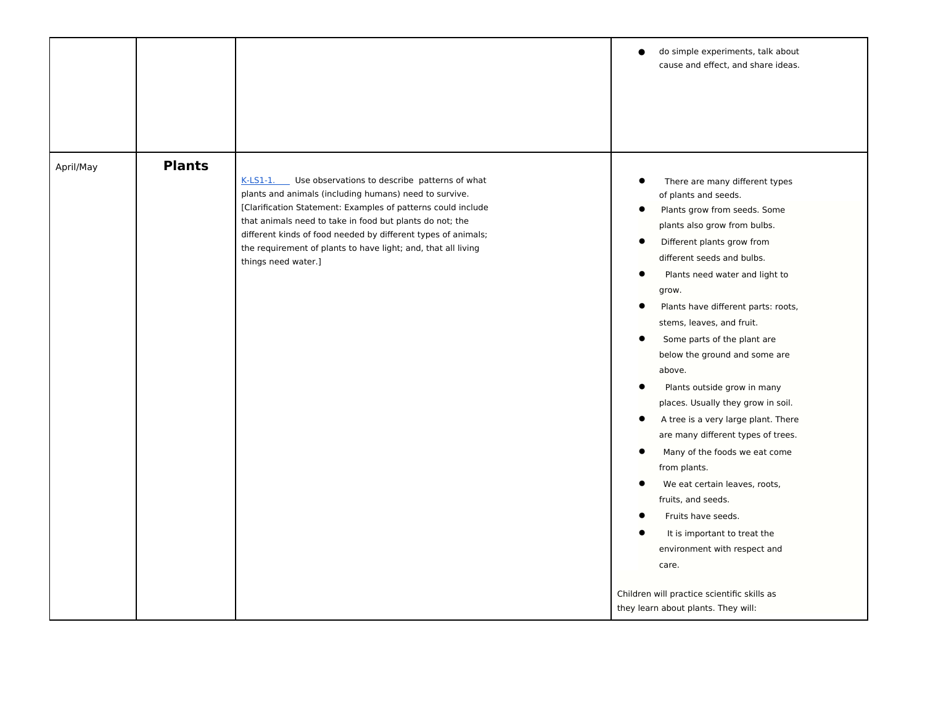|           |               |                                                                                                                                                                                                                                                                                                                                                                                                            | do simple experiments, talk about<br>$\bullet$<br>cause and effect, and share ideas.                                                                                                                                                                                                                                                                                                                                                                                                                                                                                                                                                                                                                                                                                                                                                                                                                          |
|-----------|---------------|------------------------------------------------------------------------------------------------------------------------------------------------------------------------------------------------------------------------------------------------------------------------------------------------------------------------------------------------------------------------------------------------------------|---------------------------------------------------------------------------------------------------------------------------------------------------------------------------------------------------------------------------------------------------------------------------------------------------------------------------------------------------------------------------------------------------------------------------------------------------------------------------------------------------------------------------------------------------------------------------------------------------------------------------------------------------------------------------------------------------------------------------------------------------------------------------------------------------------------------------------------------------------------------------------------------------------------|
| April/May | <b>Plants</b> | Use observations to describe patterns of what<br>$K-LS1-1.$<br>plants and animals (including humans) need to survive.<br>[Clarification Statement: Examples of patterns could include<br>that animals need to take in food but plants do not; the<br>different kinds of food needed by different types of animals;<br>the requirement of plants to have light; and, that all living<br>things need water.] | There are many different types<br>of plants and seeds.<br>Plants grow from seeds. Some<br>$\bullet$<br>plants also grow from bulbs.<br>$\bullet$<br>Different plants grow from<br>different seeds and bulbs.<br>Plants need water and light to<br>$\bullet$<br>grow.<br>Plants have different parts: roots,<br>stems, leaves, and fruit.<br>$\bullet$<br>Some parts of the plant are<br>below the ground and some are<br>above.<br>Plants outside grow in many<br>places. Usually they grow in soil.<br>A tree is a very large plant. There<br>$\bullet$<br>are many different types of trees.<br>Many of the foods we eat come<br>from plants.<br>We eat certain leaves, roots,<br>$\bullet$<br>fruits, and seeds.<br>Fruits have seeds.<br>с<br>It is important to treat the<br>environment with respect and<br>care.<br>Children will practice scientific skills as<br>they learn about plants. They will: |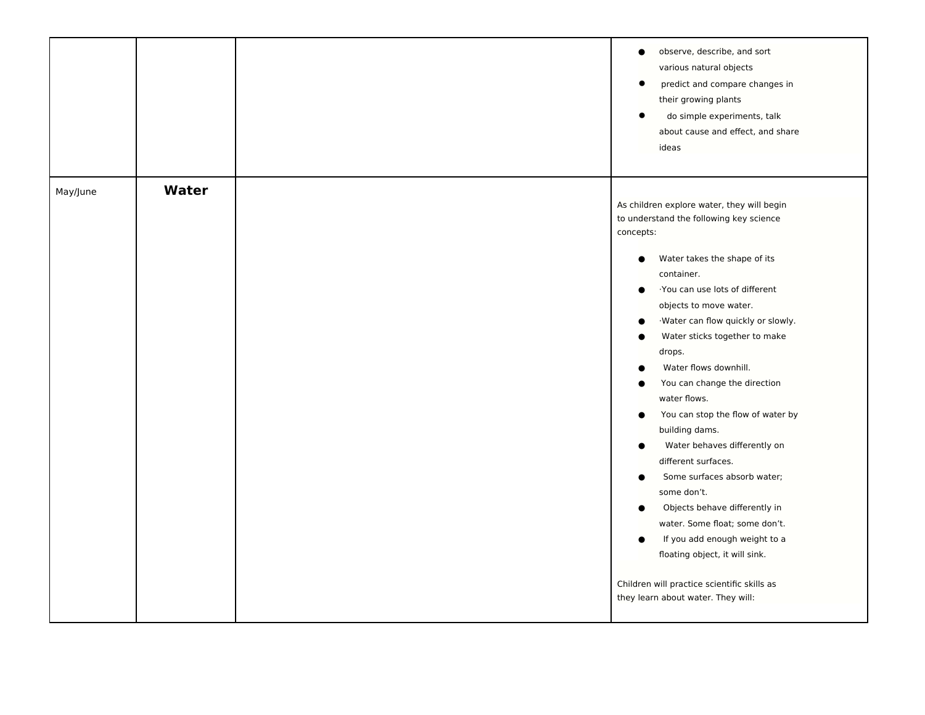| Water<br>May/June<br>As children explore water, they will begin<br>to understand the following key science<br>concepts:<br>Water takes the shape of its<br>$\bullet$<br>container.<br>You can use lots of different<br>$\bullet$<br>objects to move water.<br>·Water can flow quickly or slowly.<br>$\bullet$<br>Water sticks together to make<br>$\bullet$<br>drops.<br>Water flows downhill.<br>You can change the direction<br>water flows. | observe, describe, and sort<br>$\bullet$<br>various natural objects<br>predict and compare changes in<br>$\bullet$<br>their growing plants<br>$\bullet$<br>do simple experiments, talk<br>about cause and effect, and share<br>ideas |  |
|------------------------------------------------------------------------------------------------------------------------------------------------------------------------------------------------------------------------------------------------------------------------------------------------------------------------------------------------------------------------------------------------------------------------------------------------|--------------------------------------------------------------------------------------------------------------------------------------------------------------------------------------------------------------------------------------|--|
| building dams.<br>Water behaves differently on<br>$\bullet$<br>different surfaces.<br>Some surfaces absorb water;<br>$\bullet$<br>some don't.<br>Objects behave differently in<br>$\bullet$<br>water. Some float; some don't.<br>If you add enough weight to a<br>0<br>floating object, it will sink.<br>Children will practice scientific skills as<br>they learn about water. They will:                                                     | You can stop the flow of water by<br>$\bullet$                                                                                                                                                                                       |  |